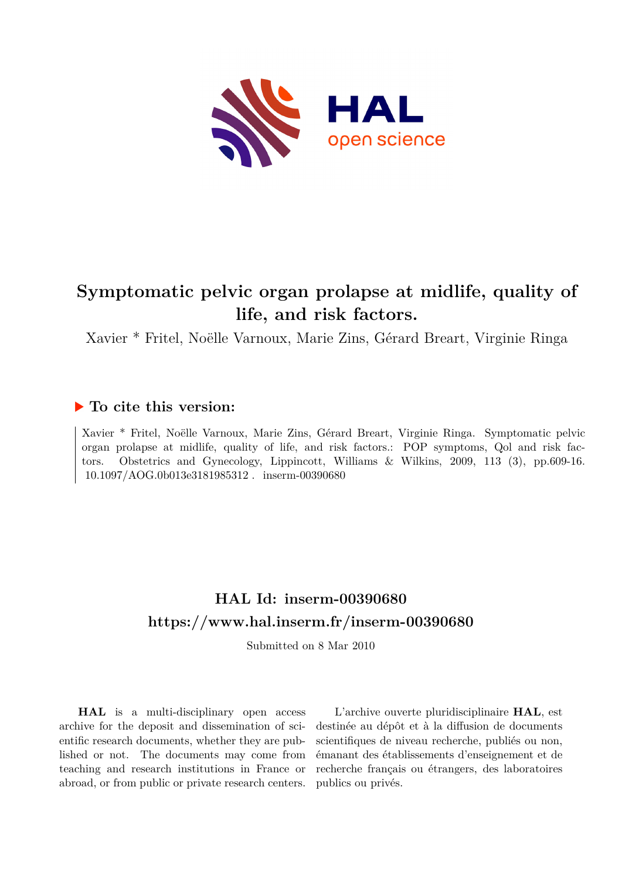

# **Symptomatic pelvic organ prolapse at midlife, quality of life, and risk factors.**

Xavier \* Fritel, Noëlle Varnoux, Marie Zins, Gérard Breart, Virginie Ringa

### **To cite this version:**

Xavier \* Fritel, Noëlle Varnoux, Marie Zins, Gérard Breart, Virginie Ringa. Symptomatic pelvic organ prolapse at midlife, quality of life, and risk factors.: POP symptoms, Qol and risk factors. Obstetrics and Gynecology, Lippincott, Williams & Wilkins, 2009, 113 (3), pp.609-16.  $10.1097/AOG.0b013e3181985312$ . inserm-00390680

# **HAL Id: inserm-00390680 <https://www.hal.inserm.fr/inserm-00390680>**

Submitted on 8 Mar 2010

**HAL** is a multi-disciplinary open access archive for the deposit and dissemination of scientific research documents, whether they are published or not. The documents may come from teaching and research institutions in France or abroad, or from public or private research centers.

L'archive ouverte pluridisciplinaire **HAL**, est destinée au dépôt et à la diffusion de documents scientifiques de niveau recherche, publiés ou non, émanant des établissements d'enseignement et de recherche français ou étrangers, des laboratoires publics ou privés.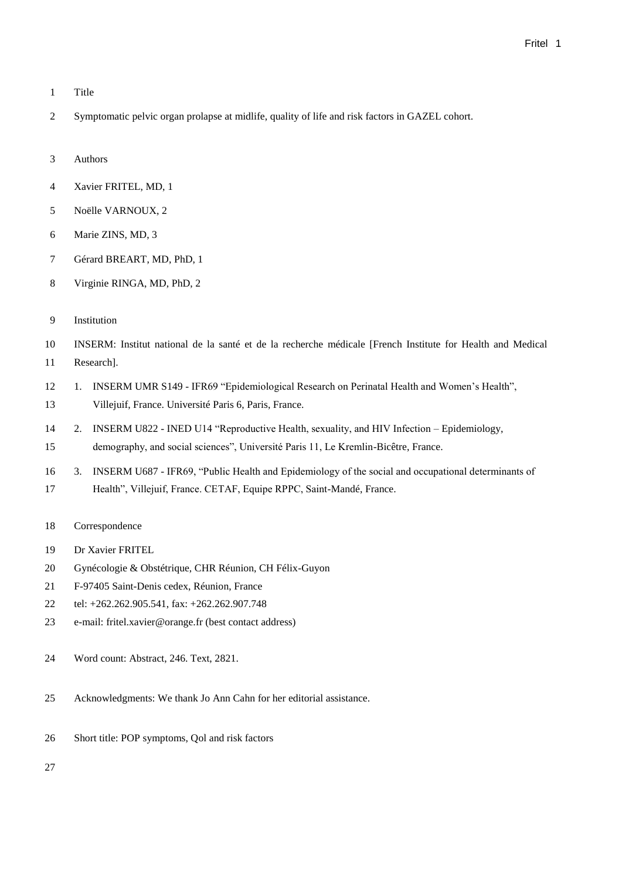- Title
- Symptomatic pelvic organ prolapse at midlife, quality of life and risk factors in GAZEL cohort.
- Authors
- Xavier FRITEL, MD, 1
- Noëlle VARNOUX, 2
- Marie ZINS, MD, 3
- Gérard BREART, MD, PhD, 1
- Virginie RINGA, MD, PhD, 2
- Institution
- INSERM: Institut national de la santé et de la recherche médicale [French Institute for Health and Medical Research].
- 1. INSERM UMR S149 IFR69 "Epidemiological Research on Perinatal Health and Women's Health", Villejuif, France. Université Paris 6, Paris, France.
- 2. INSERM U822 INED U14 "Reproductive Health, sexuality, and HIV Infection Epidemiology, demography, and social sciences", Université Paris 11, Le Kremlin-Bicêtre, France.
- 3. INSERM U687 IFR69, "Public Health and Epidemiology of the social and occupational determinants of Health", Villejuif, France. CETAF, Equipe RPPC, Saint-Mandé, France.
- Correspondence
- Dr Xavier FRITEL
- Gynécologie & Obstétrique, CHR Réunion, CH Félix-Guyon
- F-97405 Saint-Denis cedex, Réunion, France
- tel: +262.262.905.541, fax: +262.262.907.748
- e-mail: fritel.xavier@orange.fr (best contact address)
- Word count: Abstract, 246. Text, 2821.
- Acknowledgments: We thank Jo Ann Cahn for her editorial assistance.
- Short title: POP symptoms, Qol and risk factors
-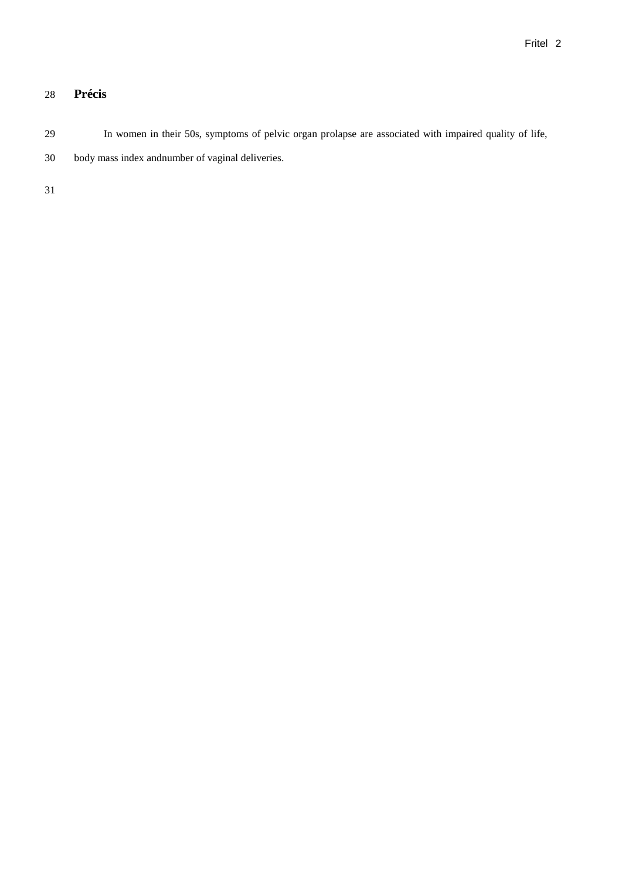## **Précis**

In women in their 50s, symptoms of pelvic organ prolapse are associated with impaired quality of life,

body mass index andnumber of vaginal deliveries.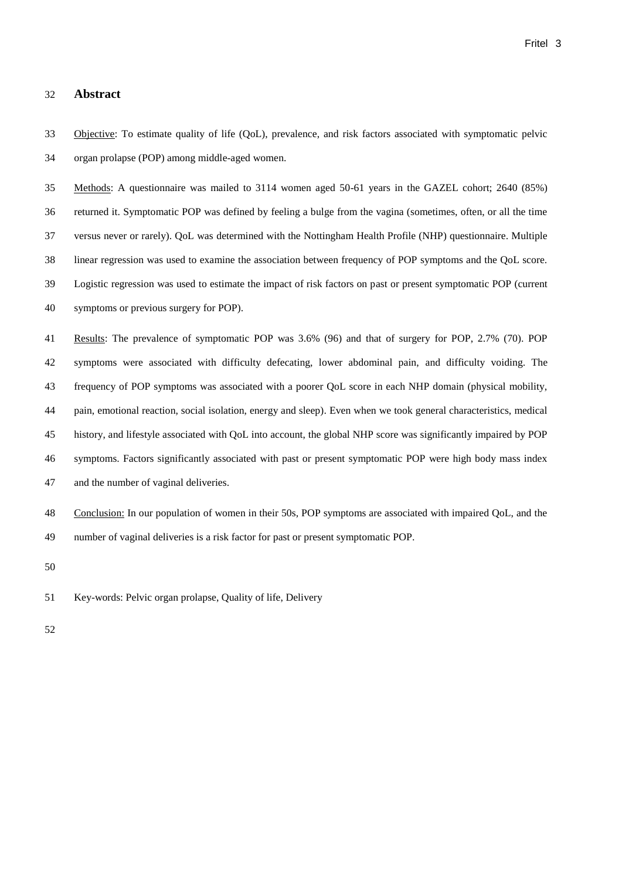#### **Abstract**

<span id="page-3-1"></span> Objective: To estimate quality of life (QoL), prevalence, and risk factors associated with symptomatic pelvic organ prolapse (POP) among middle-aged women.

<span id="page-3-0"></span> Methods: A questionnaire was mailed to 3114 women aged 50-61 years in the GAZEL cohort; 2640 (85%) returned it. Symptomatic POP was defined by feeling a bulge from the vagina (sometimes, often, or all the time versus never or rarely). QoL was determined with the Nottingham Health Profile (NHP) questionnaire. Multiple linear regression was used to examine the association between frequency of POP symptoms and the QoL score. Logistic regression was used to estimate the impact of risk factors on past or present symptomatic POP (current symptoms or previous surgery for POP).

 Results: The prevalence of symptomatic POP was 3.6% (96) and that of surgery for POP, 2.7% (70). POP symptoms were associated with difficulty defecating, lower abdominal pain, and difficulty voiding. The frequency of POP symptoms was associated with a poorer QoL score in each NHP domain (physical mobility, pain, emotional reaction, social isolation, energy and sleep). Even when we took general characteristics, medical history, and lifestyle associated with QoL into account, the global NHP score was significantly impaired by POP symptoms. Factors significantly associated with past or present symptomatic POP were high body mass index and the number of vaginal deliveries.

 Conclusion: In our population of women in their 50s, POP symptoms are associated with impaired QoL, and the number of vaginal deliveries is a risk factor for past or present symptomatic POP.

Key-words: Pelvic organ prolapse, Quality of life, Delivery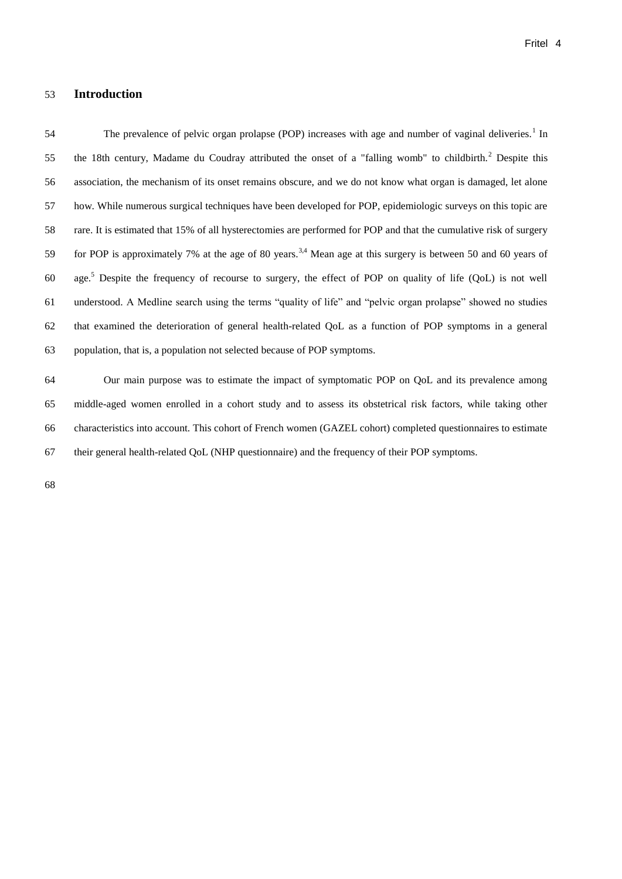#### **Introduction**

<span id="page-4-0"></span>54 The prevalence of pelvic organ prolapse (POP) increases with age and number of vaginal deliveries.<sup>1</sup> In 55 the 18th century, Madame du Coudray attributed the onset of a "falling womb" to childbirth.<sup>2</sup> Despite this association, the mechanism of its onset remains obscure, and we do not know what organ is damaged, let alone how. While numerous surgical techniques have been developed for POP, epidemiologic surveys on this topic are rare. It is estimated that 15% of all hysterectomies are performed for POP and that the cumulative risk of surgery 59 for POP is approximately 7% at the age of 80 years.<sup>3,4</sup> Mean age at this surgery is between 50 and 60 years of 60 age.<sup>5</sup> Despite the frequency of recourse to surgery, the effect of POP on quality of life (QoL) is not well understood. A Medline search using the terms "quality of life" and "pelvic organ prolapse" showed no studies that examined the deterioration of general health-related QoL as a function of POP symptoms in a general population, that is, a population not selected because of POP symptoms.

<span id="page-4-2"></span><span id="page-4-1"></span> Our main purpose was to estimate the impact of symptomatic POP on QoL and its prevalence among middle-aged women enrolled in a cohort study and to assess its obstetrical risk factors, while taking other characteristics into account. This cohort of French women (GAZEL cohort) completed questionnaires to estimate their general health-related QoL (NHP questionnaire) and the frequency of their POP symptoms.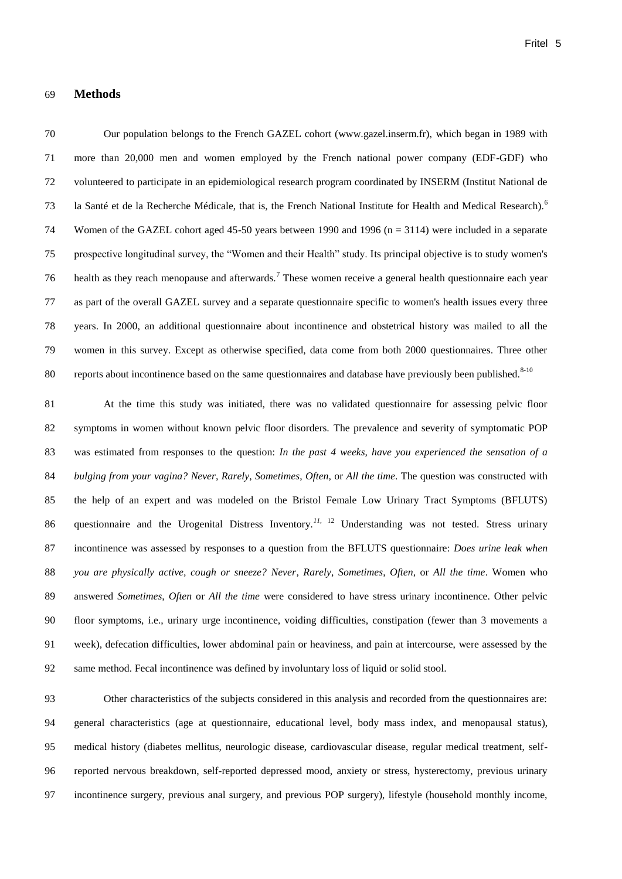#### **Methods**

 Our population belongs to the French GAZEL cohort (www.gazel.inserm.fr), which began in 1989 with more than 20,000 men and women employed by the French national power company (EDF-GDF) who volunteered to participate in an epidemiological research program coordinated by INSERM (Institut National de la Santé et de la Recherche Médicale, that is, the French National Institute for Health and Medical Research).<sup>6</sup> 74 Women of the GAZEL cohort aged 45-50 years between 1990 and 1996 (n = 3114) were included in a separate prospective longitudinal survey, the "Women and their Health" study. Its principal objective is to study women's 76 health as they reach menopause and afterwards.<sup>7</sup> These women receive a general health questionnaire each year as part of the overall GAZEL survey and a separate questionnaire specific to women's health issues every three years. In 2000, an additional questionnaire about incontinence and obstetrical history was mailed to all the women in this survey. Except as otherwise specified, data come from both 2000 questionnaires. Three other 80 reports about incontinence based on the same questionnaires and database have previously been published. $8-10$ 

 At the time this study was initiated, there was no validated questionnaire for assessing pelvic floor symptoms in women without known pelvic floor disorders. The prevalence and severity of symptomatic POP was estimated from responses to the question: *In the past 4 weeks, have you experienced the sensation of a bulging from your vagina? Never*, *Rarely*, *Sometimes*, *Often*, or *All the time*. The question was constructed with the help of an expert and was modeled on the Bristol Female Low Urinary Tract Symptoms (BFLUTS) 86 questionnaire and the Urogenital Distress Inventory.<sup>11, 12</sup> Understanding was not tested. Stress urinary incontinence was assessed by responses to a question from the BFLUTS questionnaire: *Does urine leak when you are physically active, cough or sneeze? Never*, *Rarely*, *Sometimes*, *Often*, or *All the time*. Women who answered *Sometimes*, *Often* or *All the time* were considered to have stress urinary incontinence. Other pelvic floor symptoms, i.e., urinary urge incontinence, voiding difficulties, constipation (fewer than 3 movements a week), defecation difficulties, lower abdominal pain or heaviness, and pain at intercourse, were assessed by the same method. Fecal incontinence was defined by involuntary loss of liquid or solid stool.

 Other characteristics of the subjects considered in this analysis and recorded from the questionnaires are: general characteristics (age at questionnaire, educational level, body mass index, and menopausal status), medical history (diabetes mellitus, neurologic disease, cardiovascular disease, regular medical treatment, self- reported nervous breakdown, self-reported depressed mood, anxiety or stress, hysterectomy, previous urinary incontinence surgery, previous anal surgery, and previous POP surgery), lifestyle (household monthly income,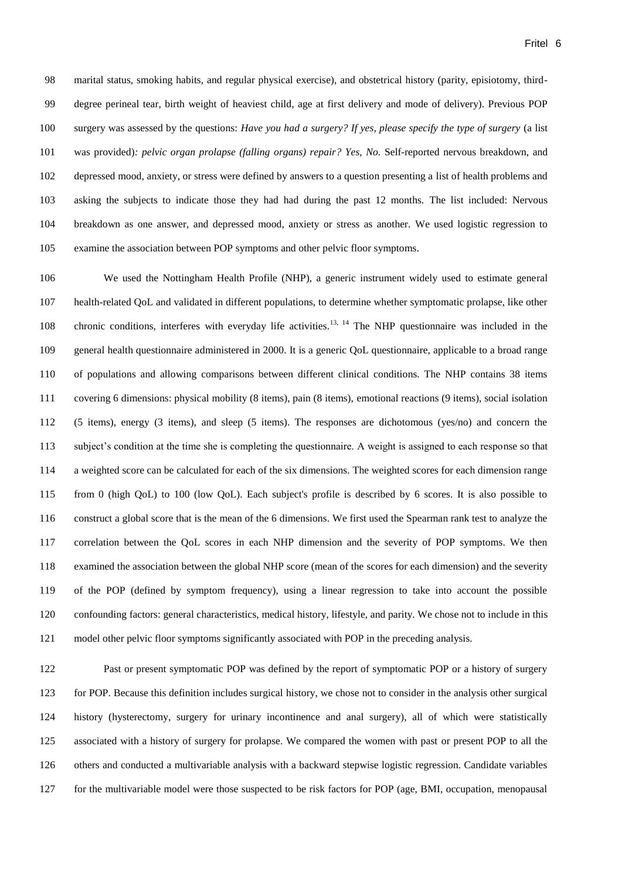marital status, smoking habits, and regular physical exercise), and obstetrical history (parity, episiotomy, third- degree perineal tear, birth weight of heaviest child, age at first delivery and mode of delivery). Previous POP surgery was assessed by the questions: *Have you had a surgery? If yes, please specify the type of surgery* (a list was provided)*: pelvic organ prolapse (falling organs) repair? Yes, No.* Self-reported nervous breakdown, and depressed mood, anxiety, or stress were defined by answers to a question presenting a list of health problems and asking the subjects to indicate those they had had during the past 12 months. The list included: Nervous breakdown as one answer, and depressed mood, anxiety or stress as another. We used logistic regression to examine the association between POP symptoms and other pelvic floor symptoms.

 We used the Nottingham Health Profile (NHP), a generic instrument widely used to estimate general health-related QoL and validated in different populations, to determine whether symptomatic prolapse, like other 108 chronic conditions, interferes with everyday life activities.<sup>13, 14</sup> The NHP questionnaire was included in the general health questionnaire administered in 2000. It is a generic QoL questionnaire, applicable to a broad range of populations and allowing comparisons between different clinical conditions. The NHP contains 38 items covering 6 dimensions: physical mobility (8 items), pain (8 items), emotional reactions (9 items), social isolation (5 items), energy (3 items), and sleep (5 items). The responses are dichotomous (yes/no) and concern the subject's condition at the time she is completing the questionnaire. A weight is assigned to each response so that a weighted score can be calculated for each of the six dimensions. The weighted scores for each dimension range from 0 (high QoL) to 100 (low QoL). Each subject's profile is described by 6 scores. It is also possible to construct a global score that is the mean of the 6 dimensions. We first used the Spearman rank test to analyze the correlation between the QoL scores in each NHP dimension and the severity of POP symptoms. We then examined the association between the global NHP score (mean of the scores for each dimension) and the severity of the POP (defined by symptom frequency), using a linear regression to take into account the possible confounding factors: general characteristics, medical history, lifestyle, and parity. We chose not to include in this model other pelvic floor symptoms significantly associated with POP in the preceding analysis.

 Past or present symptomatic POP was defined by the report of symptomatic POP or a history of surgery for POP. Because this definition includes surgical history, we chose not to consider in the analysis other surgical history (hysterectomy, surgery for urinary incontinence and anal surgery), all of which were statistically associated with a history of surgery for prolapse. We compared the women with past or present POP to all the others and conducted a multivariable analysis with a backward stepwise logistic regression. Candidate variables for the multivariable model were those suspected to be risk factors for POP (age, BMI, occupation, menopausal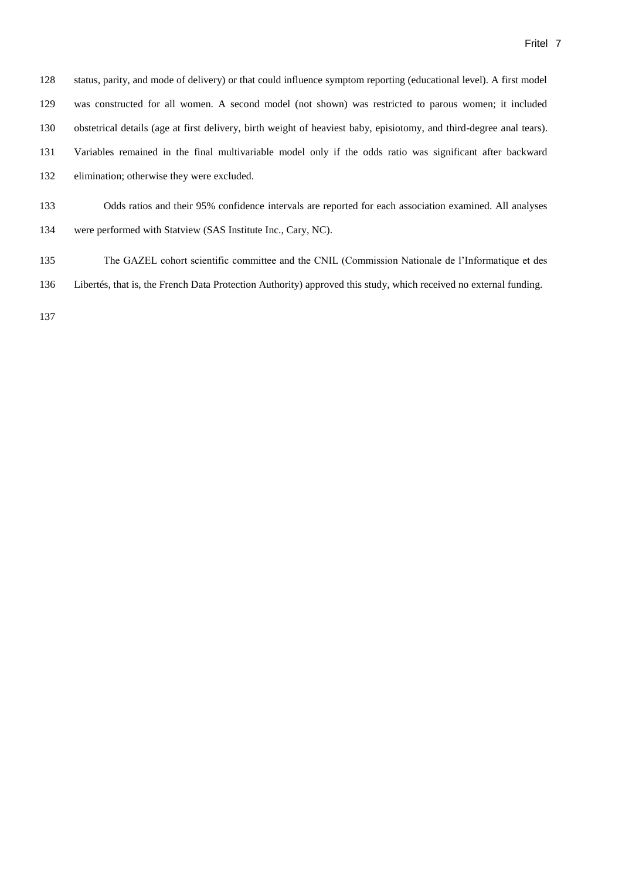| 128 | status, parity, and mode of delivery) or that could influence symptom reporting (educational level). A first model   |
|-----|----------------------------------------------------------------------------------------------------------------------|
| 129 | was constructed for all women. A second model (not shown) was restricted to parous women; it included                |
| 130 | obstetrical details (age at first delivery, birth weight of heaviest baby, episiotomy, and third-degree anal tears). |
| 131 | Variables remained in the final multivariable model only if the odds ratio was significant after backward            |
| 132 | elimination; otherwise they were excluded.                                                                           |
| 133 | Odds ratios and their 95% confidence intervals are reported for each association examined. All analyses              |

- were performed with Statview (SAS Institute Inc., Cary, NC).
- The GAZEL cohort scientific committee and the CNIL (Commission Nationale de l'Informatique et des
- Libertés, that is, the French Data Protection Authority) approved this study, which received no external funding.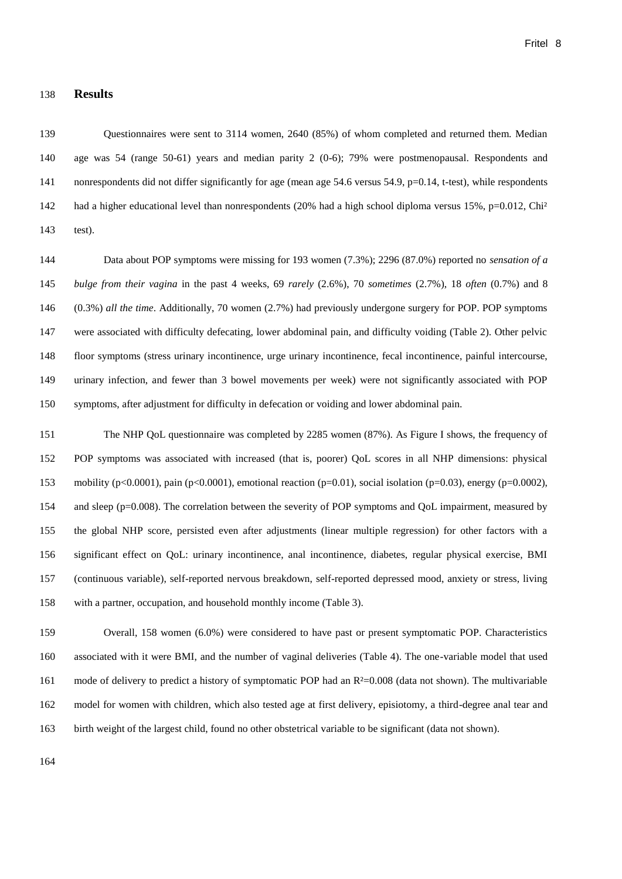#### **Results**

 Questionnaires were sent to 3114 women, 2640 (85%) of whom completed and returned them. Median age was 54 (range 50-61) years and median parity 2 (0-6); 79% were postmenopausal. Respondents and 141 nonrespondents did not differ significantly for age (mean age 54.6 versus 54.9, p=0.14, t-test), while respondents 142 had a higher educational level than nonrespondents (20% had a high school diploma versus 15%, p=0.012, Chi<sup>2</sup> test).

 Data about POP symptoms were missing for 193 women (7.3%); 2296 (87.0%) reported no *sensation of a bulge from their vagina* in the past 4 weeks, 69 *rarely* (2.6%), 70 *sometimes* (2.7%), 18 *often* (0.7%) and 8 (0.3%) *all the time*. Additionally, 70 women (2.7%) had previously undergone surgery for POP. POP symptoms were associated with difficulty defecating, lower abdominal pain, and difficulty voiding (Table 2). Other pelvic floor symptoms (stress urinary incontinence, urge urinary incontinence, fecal incontinence, painful intercourse, urinary infection, and fewer than 3 bowel movements per week) were not significantly associated with POP symptoms, after adjustment for difficulty in defecation or voiding and lower abdominal pain.

 The NHP QoL questionnaire was completed by 2285 women (87%). As Figure I shows, the frequency of POP symptoms was associated with increased (that is, poorer) QoL scores in all NHP dimensions: physical 153 mobility (p<0.0001), pain (p<0.0001), emotional reaction (p=0.01), social isolation (p=0.03), energy (p=0.0002), and sleep (p=0.008). The correlation between the severity of POP symptoms and QoL impairment, measured by the global NHP score, persisted even after adjustments (linear multiple regression) for other factors with a significant effect on QoL: urinary incontinence, anal incontinence, diabetes, regular physical exercise, BMI (continuous variable), self-reported nervous breakdown, self-reported depressed mood, anxiety or stress, living with a partner, occupation, and household monthly income (Table 3).

 Overall, 158 women (6.0%) were considered to have past or present symptomatic POP. Characteristics associated with it were BMI, and the number of vaginal deliveries (Table 4). The one-variable model that used 161 mode of delivery to predict a history of symptomatic POP had an R<sup>2</sup>=0.008 (data not shown). The multivariable model for women with children, which also tested age at first delivery, episiotomy, a third-degree anal tear and birth weight of the largest child, found no other obstetrical variable to be significant (data not shown).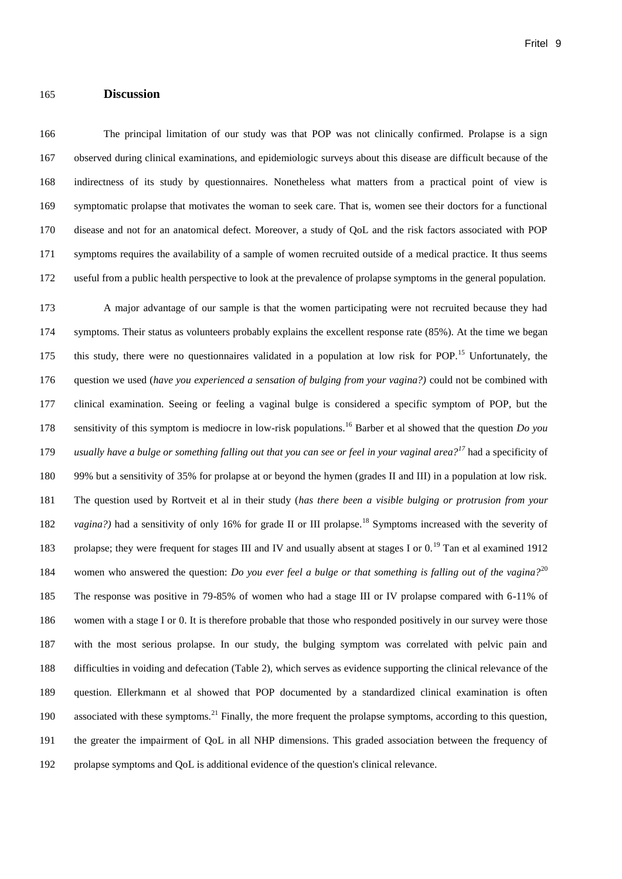#### **Discussion**

<span id="page-9-2"></span><span id="page-9-1"></span> The principal limitation of our study was that POP was not clinically confirmed. Prolapse is a sign observed during clinical examinations, and epidemiologic surveys about this disease are difficult because of the indirectness of its study by questionnaires. Nonetheless what matters from a practical point of view is symptomatic prolapse that motivates the woman to seek care. That is, women see their doctors for a functional disease and not for an anatomical defect. Moreover, a study of QoL and the risk factors associated with POP symptoms requires the availability of a sample of women recruited outside of a medical practice. It thus seems useful from a public health perspective to look at the prevalence of prolapse symptoms in the general population.

<span id="page-9-0"></span> A major advantage of our sample is that the women participating were not recruited because they had symptoms. Their status as volunteers probably explains the excellent response rate (85%). At the time we began 175 this study, there were no questionnaires validated in a population at low risk for POP.<sup>15</sup> Unfortunately, the question we used (*have you experienced a sensation of bulging from your vagina?)* could not be combined with clinical examination. Seeing or feeling a vaginal bulge is considered a specific symptom of POP, but the 178 sensitivity of this symptom is mediocre in low-risk populations.<sup>16</sup> Barber et al showed that the question *Do you* 179 usually have a bulge or something falling out that you can see or feel in your vaginal area?<sup>17</sup> had a specificity of 99% but a sensitivity of 35% for prolapse at or beyond the hymen (grades II and III) in a population at low risk. The question used by Rortveit et al in their study (*has there been a visible bulging or protrusion from your*  182 vagina?) had a sensitivity of only 16% for grade II or III prolapse.<sup>18</sup> Symptoms increased with the severity of 183 prolapse; they were frequent for stages III and IV and usually absent at stages I or  $0.19$  Tan et al examined 1912 184 women who answered the question: *Do you ever feel a bulge or that something is falling out of the vagina?*<sup>20</sup> The response was positive in 79-85% of women who had a stage III or IV prolapse compared with 6-11% of women with a stage I or 0. It is therefore probable that those who responded positively in our survey were those with the most serious prolapse. In our study, the bulging symptom was correlated with pelvic pain and difficulties in voiding and defecation (Table 2), which serves as evidence supporting the clinical relevance of the question. Ellerkmann et al showed that POP documented by a standardized clinical examination is often 190 associated with these symptoms.<sup>21</sup> Finally, the more frequent the prolapse symptoms, according to this question, the greater the impairment of QoL in all NHP dimensions. This graded association between the frequency of prolapse symptoms and QoL is additional evidence of the question's clinical relevance.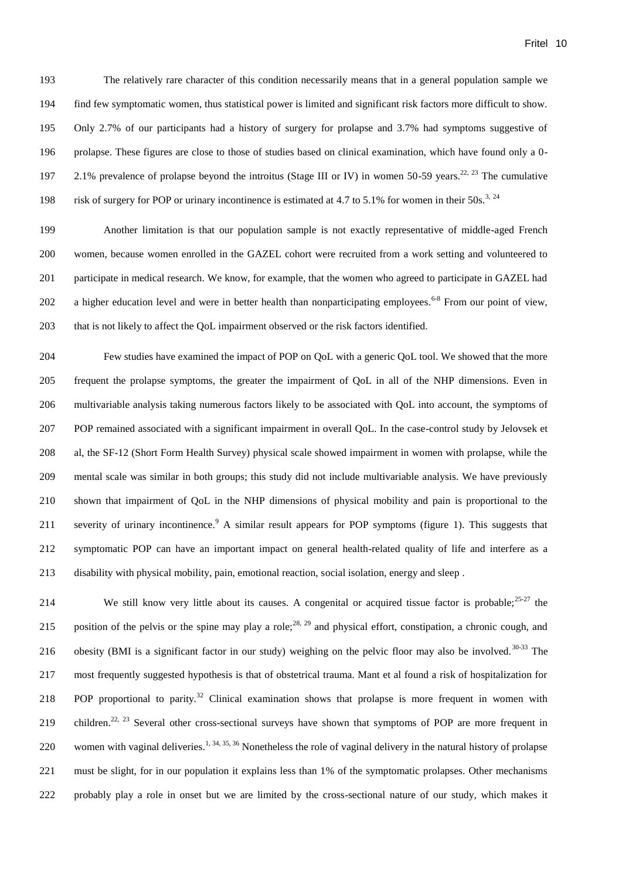The relatively rare character of this condition necessarily means that in a general population sample we find few symptomatic women, thus statistical power is limited and significant risk factors more difficult to show. Only 2.7% of our participants had a history of surgery for prolapse and 3.7% had symptoms suggestive of prolapse. These figures are close to those of studies based on clinical examination, which have found only a 0- 2.1% prevalence of prolapse beyond the introitus (Stage III or IV) in women 50-59 years.<sup>22, 23</sup> The cumulative 198 risk of surgery for POP or urinary incontinence is estimated at 4.7 to 5.1% for women in their 50s.<sup>[3,](#page-3-0) 24</sup>

 Another limitation is that our population sample is not exactly representative of middle-aged French women, because women enrolled in the GAZEL cohort were recruited from a work setting and volunteered to participate in medical research. We know, for example, that the women who agreed to participate in GAZEL had 202 a higher education level and were in better health than nonparticipating employees.  $6-8$  $6-8$  From our point of view, 203 that is not likely to affect the OoL impairment observed or the risk factors identified.

 Few studies have examined the impact of POP on QoL with a generic QoL tool. We showed that the more frequent the prolapse symptoms, the greater the impairment of QoL in all of the NHP dimensions. Even in multivariable analysis taking numerous factors likely to be associated with QoL into account, the symptoms of POP remained associated with a significant impairment in overall QoL. In the case-control study by Jelovsek et al, the SF-12 (Short Form Health Survey) physical scale showed impairment in women with prolapse, while the mental scale was similar in both groups; this study did not include multivariable analysis. We have previously shown that impairment of QoL in the NHP dimensions of physical mobility and pain is proportional to the 211 severity of urinary incontinence[.](#page-4-2)<sup>9</sup> A similar result appears for POP symptoms (figure 1). This suggests that symptomatic POP can have an important impact on general health-related quality of life and interfere as a disability with physical mobility, pain, emotional reaction, social isolation, energy and sleep .

214 We still know very little about its causes. A congenital or acquired tissue factor is probable;  $25-27$  the 215 position of the pelvis or the spine may play a role;<sup>28, 29</sup> and physical effort, constipation, a chronic cough, and 216 obesity (BMI is a significant factor in our study) weighing on the pelvic floor may also be involved.<sup>30-33</sup> The most frequently suggested hypothesis is that of obstetrical trauma. Mant et al found a risk of hospitalization for 218 POP proportional to parity.<sup>[32](#page-9-0)</sup> Clinical examination shows that prolapse is more frequent in women with 219 children.<sup>[22,](#page-9-1) [23](#page-9-2)</sup> Several other cross-sectional surveys have shown that symptoms of POP are more frequent in 220 women with vaginal deliveries.<sup>[1,](#page-3-1) 34, 35, 36</sup> Nonetheless the role of vaginal delivery in the natural history of prolapse must be slight, for in our population it explains less than 1% of the symptomatic prolapses. Other mechanisms probably play a role in onset but we are limited by the cross-sectional nature of our study, which makes it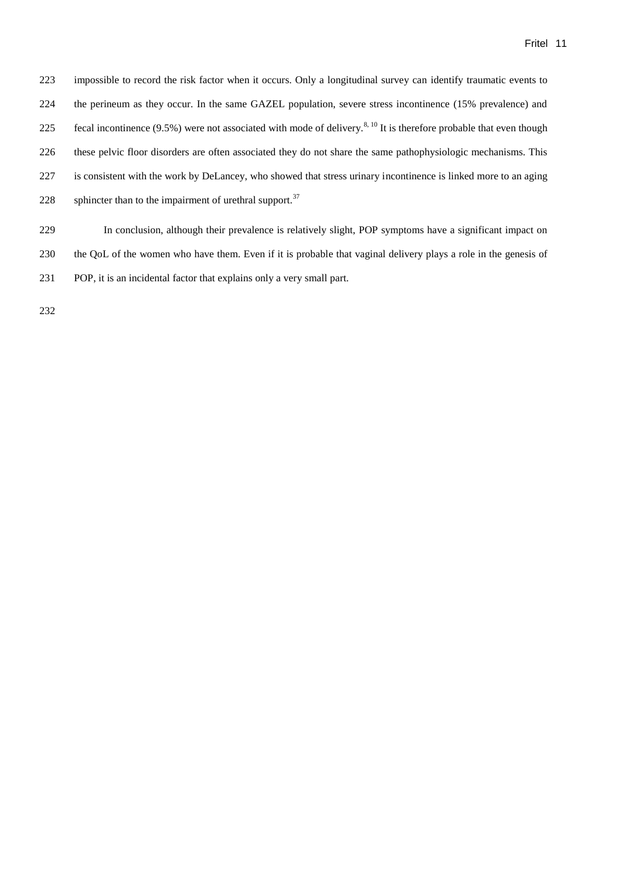impossible to record the risk factor when it occurs. Only a longitudinal survey can identify traumatic events to the perineum as they occur. In the same GAZEL population, severe stress incontinence (15% prevalence) and 225 fecal incontinence  $(9.5%)$  were not associated with mode of delivery.<sup>[8,](#page-4-1) [10](#page-4-2)</sup> It is therefore probable that even though these pelvic floor disorders are often associated they do not share the same pathophysiologic mechanisms. This is consistent with the work by DeLancey, who showed that stress urinary incontinence is linked more to an aging 228 sphincter than to the impairment of urethral support.

 In conclusion, although their prevalence is relatively slight, POP symptoms have a significant impact on the QoL of the women who have them. Even if it is probable that vaginal delivery plays a role in the genesis of POP, it is an incidental factor that explains only a very small part.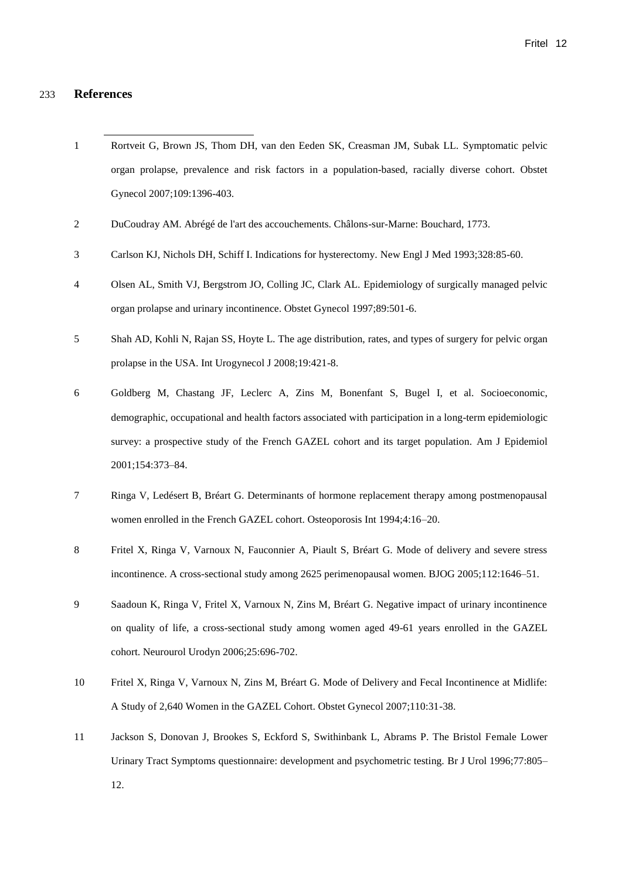#### 233 **References**

l

- 1 Rortveit G, Brown JS, Thom DH, van den Eeden SK, Creasman JM, Subak LL. Symptomatic pelvic organ prolapse, prevalence and risk factors in a population-based, racially diverse cohort. Obstet Gynecol 2007;109:1396-403.
- 2 DuCoudray AM. Abrégé de l'art des accouchements. Châlons-sur-Marne: Bouchard, 1773.
- 3 Carlson KJ, Nichols DH, Schiff I. Indications for hysterectomy. New Engl J Med 1993;328:85-60.
- 4 Olsen AL, Smith VJ, Bergstrom JO, Colling JC, Clark AL. Epidemiology of surgically managed pelvic organ prolapse and urinary incontinence. Obstet Gynecol 1997;89:501-6.
- 5 Shah AD, Kohli N, Rajan SS, Hoyte L. The age distribution, rates, and types of surgery for pelvic organ prolapse in the USA. Int Urogynecol J 2008;19:421-8.
- 6 Goldberg M, Chastang JF, Leclerc A, Zins M, Bonenfant S, Bugel I, et al. Socioeconomic, demographic, occupational and health factors associated with participation in a long-term epidemiologic survey: a prospective study of the French GAZEL cohort and its target population. Am J Epidemiol 2001;154:373–84.
- 7 Ringa V, Ledésert B, Bréart G. Determinants of hormone replacement therapy among postmenopausal women enrolled in the French GAZEL cohort. Osteoporosis Int 1994;4:16–20.
- 8 Fritel X, Ringa V, Varnoux N, Fauconnier A, Piault S, Bréart G. Mode of delivery and severe stress incontinence. A cross-sectional study among 2625 perimenopausal women. BJOG 2005;112:1646–51.
- 9 Saadoun K, Ringa V, Fritel X, Varnoux N, Zins M, Bréart G. Negative impact of urinary incontinence on quality of life, a cross-sectional study among women aged 49-61 years enrolled in the GAZEL cohort. Neurourol Urodyn 2006;25:696-702.
- 10 Fritel X, Ringa V, Varnoux N, Zins M, Bréart G. Mode of Delivery and Fecal Incontinence at Midlife: A Study of 2,640 Women in the GAZEL Cohort. Obstet Gynecol 2007;110:31-38.
- 11 Jackson S, Donovan J, Brookes S, Eckford S, Swithinbank L, Abrams P. The Bristol Female Lower Urinary Tract Symptoms questionnaire: development and psychometric testing. Br J Urol 1996;77:805– 12.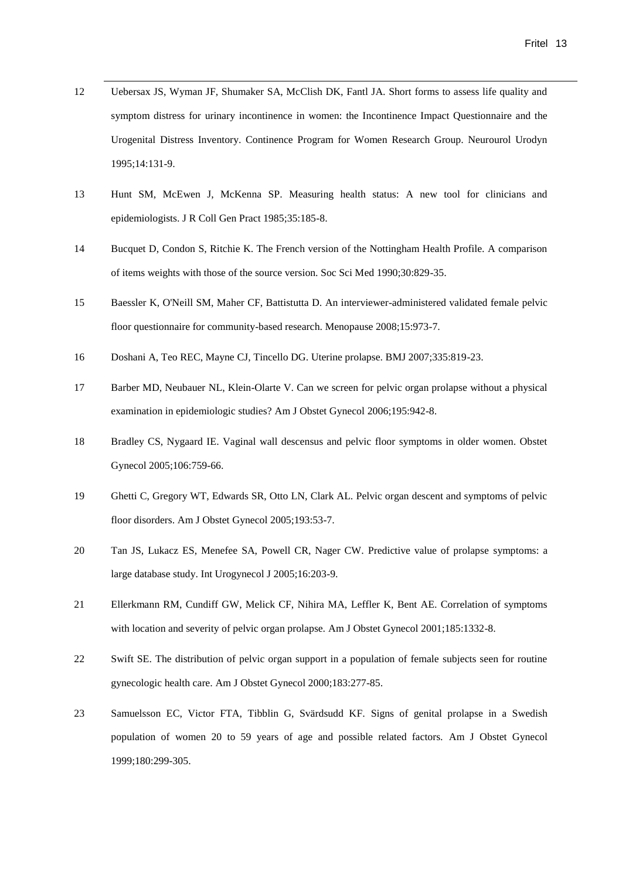12 Uebersax JS, Wyman JF, Shumaker SA, McClish DK, Fantl JA. Short forms to assess life quality and symptom distress for urinary incontinence in women: the Incontinence Impact Questionnaire and the Urogenital Distress Inventory. Continence Program for Women Research Group. Neurourol Urodyn 1995;14:131-9.

- 13 Hunt SM, McEwen J, McKenna SP. Measuring health status: A new tool for clinicians and epidemiologists. J R Coll Gen Pract 1985;35:185-8.
- 14 Bucquet D, Condon S, Ritchie K. The French version of the Nottingham Health Profile. A comparison of items weights with those of the source version. Soc Sci Med 1990;30:829-35.
- 15 Baessler K, O'Neill SM, Maher CF, Battistutta D. An interviewer-administered validated female pelvic floor questionnaire for community-based research. Menopause 2008;15:973-7.
- 16 Doshani A, Teo REC, Mayne CJ, Tincello DG. Uterine prolapse. BMJ 2007;335:819-23.
- 17 Barber MD, Neubauer NL, Klein-Olarte V. Can we screen for pelvic organ prolapse without a physical examination in epidemiologic studies? Am J Obstet Gynecol 2006;195:942-8.
- 18 Bradley CS, Nygaard IE. Vaginal wall descensus and pelvic floor symptoms in older women. Obstet Gynecol 2005;106:759-66.
- 19 Ghetti C, Gregory WT, Edwards SR, Otto LN, Clark AL. Pelvic organ descent and symptoms of pelvic floor disorders. Am J Obstet Gynecol 2005;193:53-7.
- 20 Tan JS, Lukacz ES, Menefee SA, Powell CR, Nager CW. Predictive value of prolapse symptoms: a large database study. Int Urogynecol J 2005;16:203-9.
- 21 Ellerkmann RM, Cundiff GW, Melick CF, Nihira MA, Leffler K, Bent AE. Correlation of symptoms with location and severity of pelvic organ prolapse. Am J Obstet Gynecol 2001;185:1332-8.
- 22 Swift SE. The distribution of pelvic organ support in a population of female subjects seen for routine gynecologic health care. Am J Obstet Gynecol 2000;183:277-85.
- 23 Samuelsson EC, Victor FTA, Tibblin G, Svärdsudd KF. Signs of genital prolapse in a Swedish population of women 20 to 59 years of age and possible related factors. Am J Obstet Gynecol 1999;180:299-305.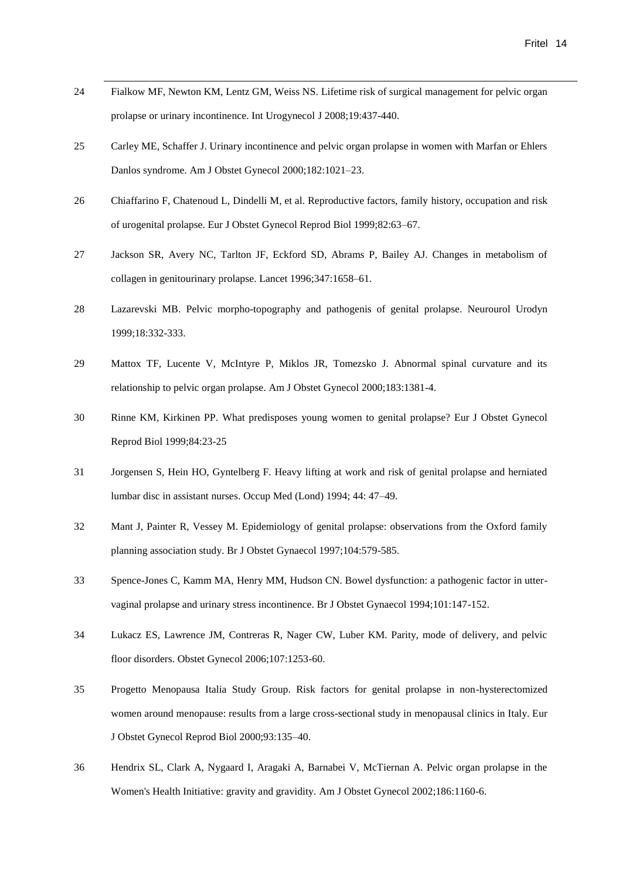24 Fialkow MF, Newton KM, Lentz GM, Weiss NS. Lifetime risk of surgical management for pelvic organ prolapse or urinary incontinence. Int Urogynecol J 2008;19:437-440.

- 25 Carley ME, Schaffer J. Urinary incontinence and pelvic organ prolapse in women with Marfan or Ehlers Danlos syndrome. Am J Obstet Gynecol 2000;182:1021–23.
- 26 Chiaffarino F, Chatenoud L, Dindelli M, et al. Reproductive factors, family history, occupation and risk of urogenital prolapse. Eur J Obstet Gynecol Reprod Biol 1999;82:63–67.
- 27 Jackson SR, Avery NC, Tarlton JF, Eckford SD, Abrams P, Bailey AJ. Changes in metabolism of collagen in genitourinary prolapse. Lancet 1996;347:1658–61.
- 28 Lazarevski MB. Pelvic morpho-topography and pathogenis of genital prolapse. Neurourol Urodyn 1999;18:332-333.
- 29 Mattox TF, Lucente V, McIntyre P, Miklos JR, Tomezsko J. Abnormal spinal curvature and its relationship to pelvic organ prolapse. Am J Obstet Gynecol 2000;183:1381-4.
- 30 Rinne KM, Kirkinen PP. What predisposes young women to genital prolapse? Eur J Obstet Gynecol Reprod Biol 1999;84:23-25
- 31 Jorgensen S, Hein HO, Gyntelberg F. Heavy lifting at work and risk of genital prolapse and herniated lumbar disc in assistant nurses. Occup Med (Lond) 1994; 44: 47–49.
- 32 Mant J, Painter R, Vessey M. Epidemiology of genital prolapse: observations from the Oxford family planning association study. Br J Obstet Gynaecol 1997;104:579-585.
- 33 Spence-Jones C, Kamm MA, Henry MM, Hudson CN. Bowel dysfunction: a pathogenic factor in uttervaginal prolapse and urinary stress incontinence. Br J Obstet Gynaecol 1994;101:147-152.
- 34 Lukacz ES, Lawrence JM, Contreras R, Nager CW, Luber KM. Parity, mode of delivery, and pelvic floor disorders. Obstet Gynecol 2006;107:1253-60.
- 35 Progetto Menopausa Italia Study Group. Risk factors for genital prolapse in non-hysterectomized women around menopause: results from a large cross-sectional study in menopausal clinics in Italy. Eur J Obstet Gynecol Reprod Biol 2000;93:135–40.
- 36 Hendrix SL, Clark A, Nygaard I, Aragaki A, Barnabei V, McTiernan A. Pelvic organ prolapse in the Women's Health Initiative: gravity and gravidity. Am J Obstet Gynecol 2002;186:1160-6.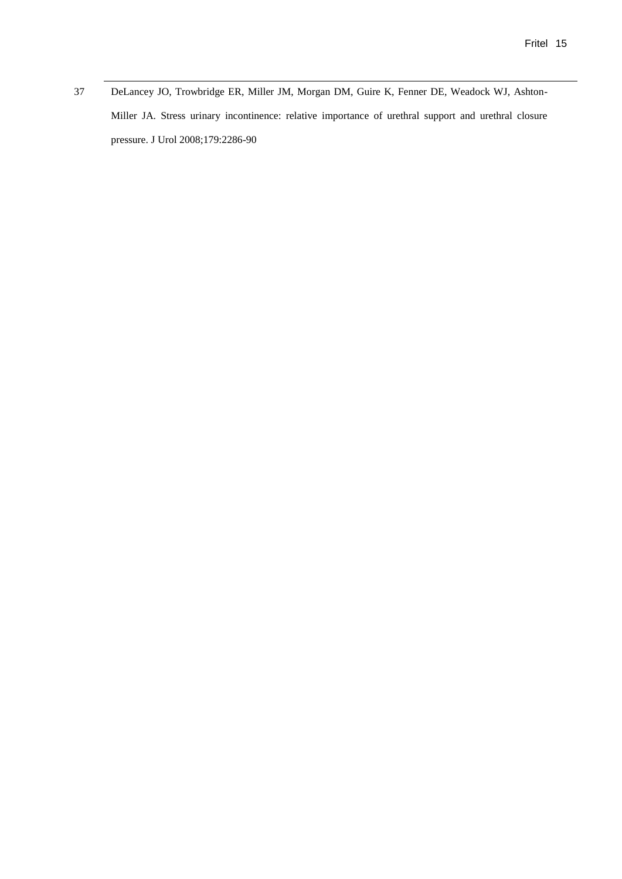37 DeLancey JO, Trowbridge ER, Miller JM, Morgan DM, Guire K, Fenner DE, Weadock WJ, Ashton-Miller JA. Stress urinary incontinence: relative importance of urethral support and urethral closure pressure. J Urol 2008;179:2286-90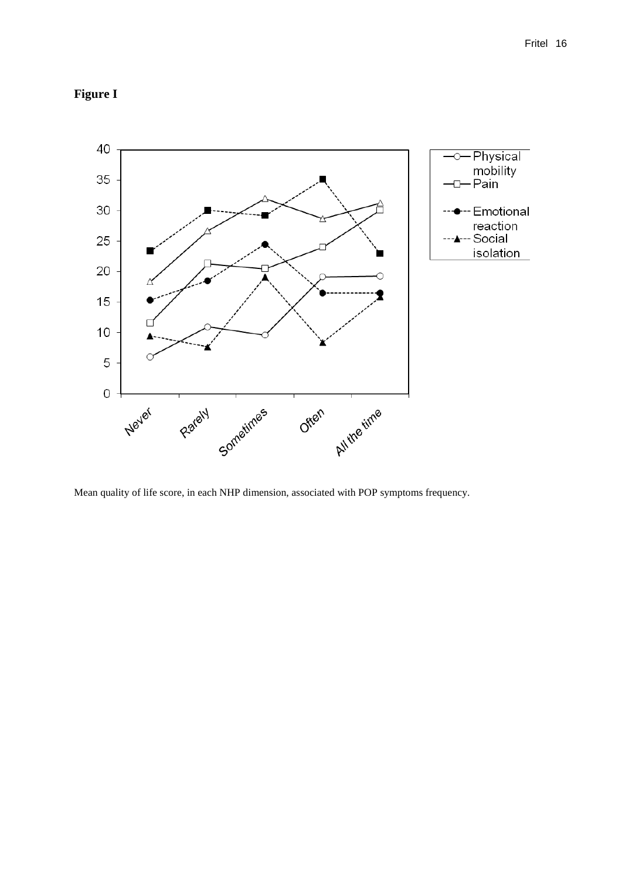## **Figure I**



Mean quality of life score, in each NHP dimension, associated with POP symptoms frequency.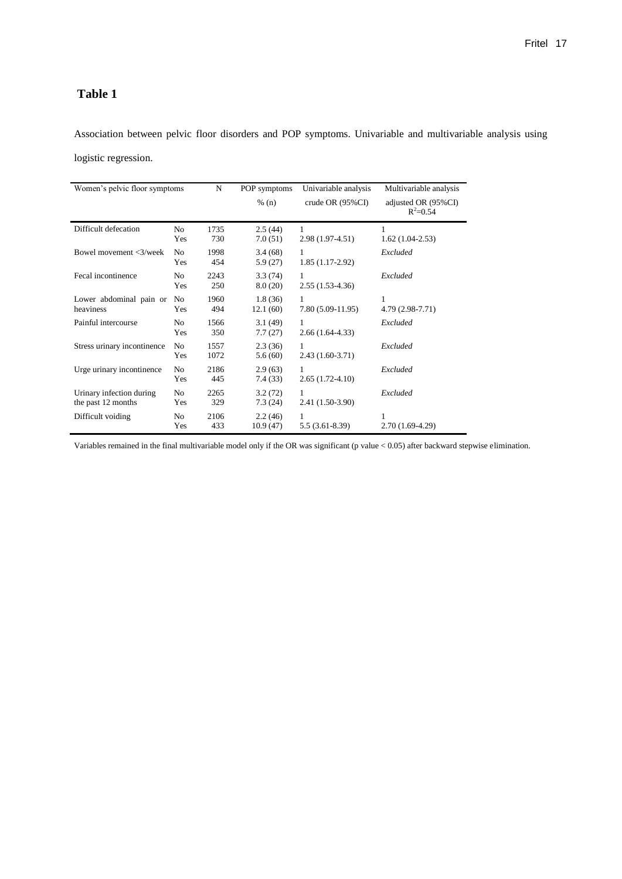### **Table 1**

Association between pelvic floor disorders and POP symptoms. Univariable and multivariable analysis using logistic regression.

| Women's pelvic floor symptoms                  |                       | N            | POP symptoms<br>% (n) | Univariable analysis<br>crude OR $(95\%CI)$ | Multivariable analysis<br>adjusted OR (95%CI)<br>$R^2 = 0.54$ |
|------------------------------------------------|-----------------------|--------------|-----------------------|---------------------------------------------|---------------------------------------------------------------|
| Difficult defecation                           | No<br>Yes             | 1735<br>730  | 2.5(44)<br>7.0(51)    | 1<br>$2.98(1.97-4.51)$                      | 1<br>$1.62(1.04-2.53)$                                        |
| Bowel movement <3/week                         | N <sub>o</sub><br>Yes | 1998<br>454  | 3.4(68)<br>5.9(27)    | 1<br>$1.85(1.17-2.92)$                      | Excluded                                                      |
| Fecal incontinence                             | No<br>Yes             | 2243<br>250  | 3.3(74)<br>8.0(20)    | 1<br>$2.55(1.53-4.36)$                      | Excluded                                                      |
| Lower abdominal pain or<br>heaviness           | N <sub>0</sub><br>Yes | 1960<br>494  | 1.8(36)<br>12.1(60)   | 1<br>7.80 (5.09-11.95)                      | 1<br>4.79 (2.98-7.71)                                         |
| Painful intercourse                            | N <sub>o</sub><br>Yes | 1566<br>350  | 3.1(49)<br>7.7(27)    | 1<br>$2.66(1.64-4.33)$                      | Excluded                                                      |
| Stress urinary incontinence                    | N <sub>o</sub><br>Yes | 1557<br>1072 | 2.3(36)<br>5.6(60)    | 1<br>$2.43(1.60-3.71)$                      | Excluded                                                      |
| Urge urinary incontinence                      | N <sub>o</sub><br>Yes | 2186<br>445  | 2.9(63)<br>7.4(33)    | 1<br>$2.65(1.72-4.10)$                      | Excluded                                                      |
| Urinary infection during<br>the past 12 months | No<br>Yes             | 2265<br>329  | 3.2(72)<br>7.3(24)    | 1<br>2.41 (1.50-3.90)                       | Excluded                                                      |
| Difficult voiding                              | No<br>Yes             | 2106<br>433  | 2.2(46)<br>10.9(47)   | 1<br>$5.5(3.61-8.39)$                       | 1<br>$2.70(1.69-4.29)$                                        |

Variables remained in the final multivariable model only if the OR was significant (p value < 0.05) after backward stepwise elimination.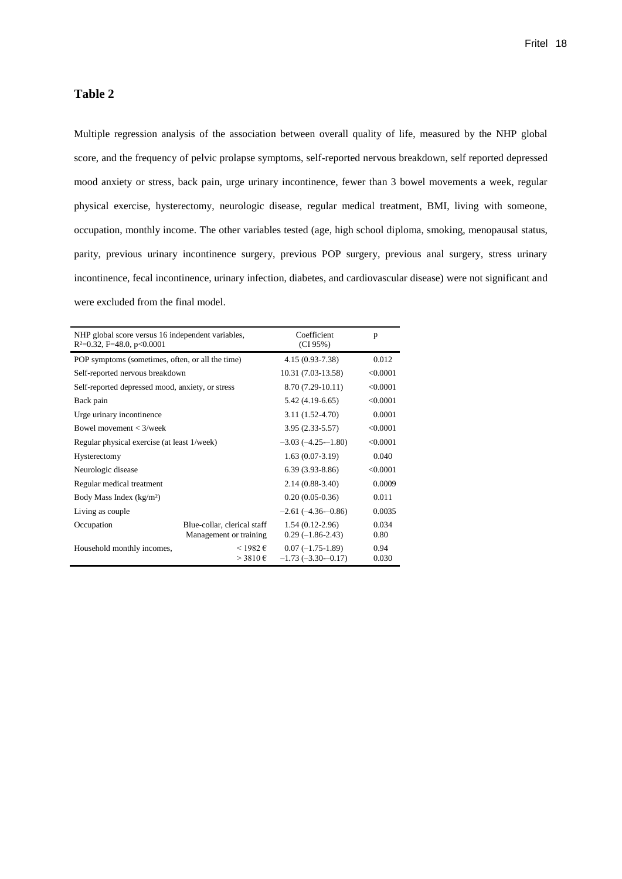#### **Table 2**

Multiple regression analysis of the association between overall quality of life, measured by the NHP global score, and the frequency of pelvic prolapse symptoms, self-reported nervous breakdown, self reported depressed mood anxiety or stress, back pain, urge urinary incontinence, fewer than 3 bowel movements a week, regular physical exercise, hysterectomy, neurologic disease, regular medical treatment, BMI, living with someone, occupation, monthly income. The other variables tested (age, high school diploma, smoking, menopausal status, parity, previous urinary incontinence surgery, previous POP surgery, previous anal surgery, stress urinary incontinence, fecal incontinence, urinary infection, diabetes, and cardiovascular disease) were not significant and were excluded from the final model.

| NHP global score versus 16 independent variables,<br>$R^2=0.32$ , F=48.0, p<0.0001 |                                                       | Coefficient<br>(CI 95%)                   | p             |
|------------------------------------------------------------------------------------|-------------------------------------------------------|-------------------------------------------|---------------|
| POP symptoms (sometimes, often, or all the time)                                   |                                                       | 4.15 (0.93-7.38)                          | 0.012         |
| Self-reported nervous breakdown                                                    |                                                       | 10.31 (7.03-13.58)                        | < 0.0001      |
| Self-reported depressed mood, anxiety, or stress                                   |                                                       | 8.70 (7.29-10.11)                         | < 0.0001      |
| Back pain                                                                          |                                                       | $5.42(4.19-6.65)$                         | < 0.0001      |
| Urge urinary incontinence                                                          |                                                       | $3.11(1.52 - 4.70)$                       | 0.0001        |
| Bowel movement $<$ 3/week                                                          | $3.95(2.33 - 5.57)$                                   | < 0.0001                                  |               |
| Regular physical exercise (at least 1/week)                                        | $-3.03(-4.25-1.80)$                                   | < 0.0001                                  |               |
| Hysterectomy                                                                       |                                                       | $1.63(0.07-3.19)$                         | 0.040         |
| Neurologic disease                                                                 | $6.39(3.93-8.86)$                                     | < 0.0001                                  |               |
| Regular medical treatment                                                          |                                                       | $2.14(0.88-3.40)$                         | 0.0009        |
| Body Mass Index $(kg/m2)$                                                          |                                                       | $0.20(0.05-0.36)$                         | 0.011         |
| Living as couple                                                                   |                                                       | $-2.61(-4.36-0.86)$                       | 0.0035        |
| Occupation                                                                         | Blue-collar, clerical staff<br>Management or training | $1.54(0.12-2.96)$<br>$0.29(-1.86-2.43)$   | 0.034<br>0.80 |
| Household monthly incomes,                                                         | $<$ 1982 €<br>$>$ 3810 $\in$                          | $0.07(-1.75-1.89)$<br>$-1.73(-3.30-0.17)$ | 0.94<br>0.030 |